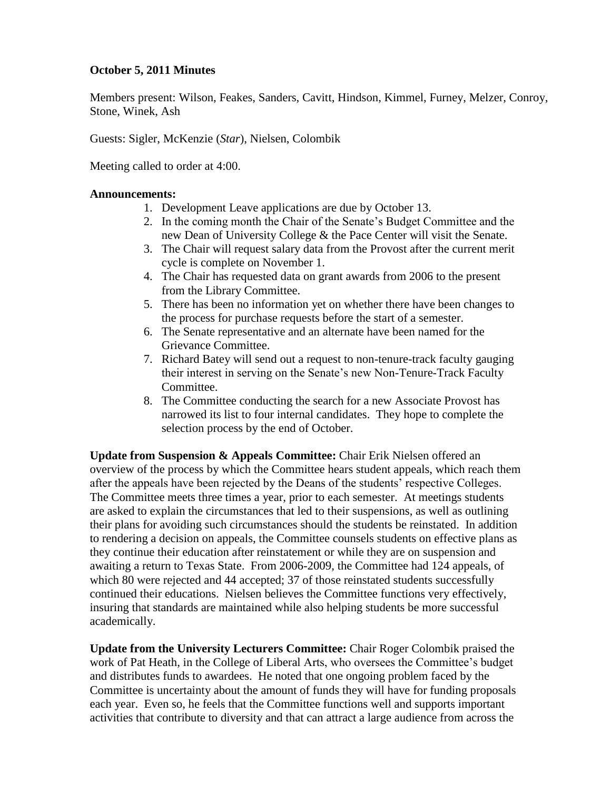### **October 5, 2011 Minutes**

Members present: Wilson, Feakes, Sanders, Cavitt, Hindson, Kimmel, Furney, Melzer, Conroy, Stone, Winek, Ash

Guests: Sigler, McKenzie (*Star*), Nielsen, Colombik

Meeting called to order at 4:00.

#### **Announcements:**

- 1. Development Leave applications are due by October 13.
- 2. In the coming month the Chair of the Senate's Budget Committee and the new Dean of University College & the Pace Center will visit the Senate.
- 3. The Chair will request salary data from the Provost after the current merit cycle is complete on November 1.
- 4. The Chair has requested data on grant awards from 2006 to the present from the Library Committee.
- 5. There has been no information yet on whether there have been changes to the process for purchase requests before the start of a semester.
- 6. The Senate representative and an alternate have been named for the Grievance Committee.
- 7. Richard Batey will send out a request to non-tenure-track faculty gauging their interest in serving on the Senate's new Non-Tenure-Track Faculty Committee.
- 8. The Committee conducting the search for a new Associate Provost has narrowed its list to four internal candidates. They hope to complete the selection process by the end of October.

**Update from Suspension & Appeals Committee:** Chair Erik Nielsen offered an overview of the process by which the Committee hears student appeals, which reach them after the appeals have been rejected by the Deans of the students' respective Colleges. The Committee meets three times a year, prior to each semester. At meetings students are asked to explain the circumstances that led to their suspensions, as well as outlining their plans for avoiding such circumstances should the students be reinstated. In addition to rendering a decision on appeals, the Committee counsels students on effective plans as they continue their education after reinstatement or while they are on suspension and awaiting a return to Texas State. From 2006-2009, the Committee had 124 appeals, of which 80 were rejected and 44 accepted; 37 of those reinstated students successfully continued their educations. Nielsen believes the Committee functions very effectively, insuring that standards are maintained while also helping students be more successful academically.

**Update from the University Lecturers Committee:** Chair Roger Colombik praised the work of Pat Heath, in the College of Liberal Arts, who oversees the Committee's budget and distributes funds to awardees. He noted that one ongoing problem faced by the Committee is uncertainty about the amount of funds they will have for funding proposals each year. Even so, he feels that the Committee functions well and supports important activities that contribute to diversity and that can attract a large audience from across the